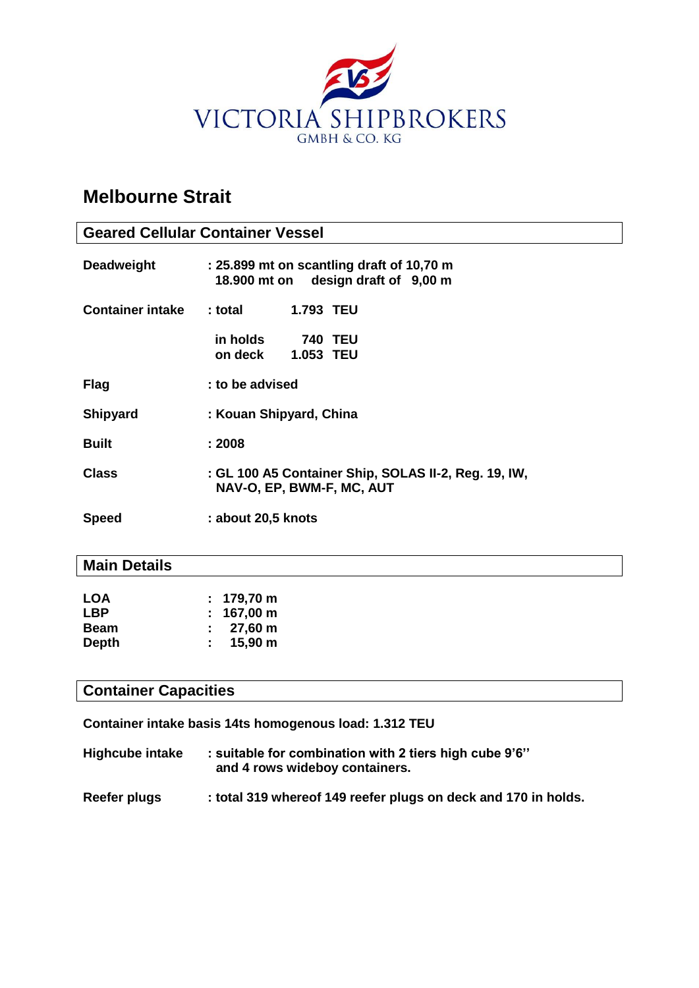

# **Melbourne Strait**

| <b>Geared Cellular Container Vessel</b> |                                                                                   |  |  |
|-----------------------------------------|-----------------------------------------------------------------------------------|--|--|
| <b>Deadweight</b>                       | : 25.899 mt on scantling draft of 10,70 m<br>18.900 mt on design draft of 9,00 m  |  |  |
| <b>Container intake</b>                 | : total<br><b>1.793 TEU</b>                                                       |  |  |
|                                         | in holds<br><b>740 TEU</b><br><b>1.053 TEU</b><br>on deck                         |  |  |
| <b>Flag</b>                             | : to be advised                                                                   |  |  |
| <b>Shipyard</b>                         | : Kouan Shipyard, China                                                           |  |  |
| <b>Built</b>                            | : 2008                                                                            |  |  |
| <b>Class</b>                            | : GL 100 A5 Container Ship, SOLAS II-2, Reg. 19, IW,<br>NAV-O, EP, BWM-F, MC, AUT |  |  |
| <b>Speed</b>                            | : about 20,5 knots                                                                |  |  |

### **Main Details**

| <b>LOA</b>   | $: 179,70 \text{ m}$      |
|--------------|---------------------------|
| <b>LBP</b>   | $: 167,00 \text{ m}$      |
| <b>Beam</b>  | $: 27,60 \text{ m}$       |
| <b>Depth</b> | 15,90 m<br>$\mathbb{R}^n$ |

## **Container Capacities**

**Container intake basis 14ts homogenous load: 1.312 TEU**

| <b>Highcube intake</b> | : suitable for combination with 2 tiers high cube 9'6" |
|------------------------|--------------------------------------------------------|
|                        | and 4 rows wideboy containers.                         |

Reefer plugs : total 319 whereof 149 reefer plugs on deck and 170 in holds.